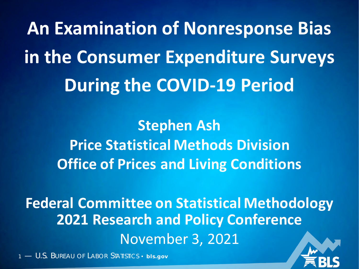**An Examination of Nonresponse Bias in the Consumer Expenditure Surveys During the COVID-19 Period**

> **Stephen Ash Price Statistical Methods Division Office of Prices and Living Conditions**

**Federal Committee on Statistical Methodology 2021 Research and Policy Conference** November 3, 2021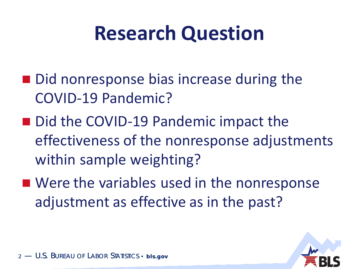# **Research Question**

- Did nonresponse bias increase during the COVID-19 Pandemic?
- Did the COVID-19 Pandemic impact the effectiveness of the nonresponse adjustments within sample weighting?
- Were the variables used in the nonresponse adjustment as effective as in the past?

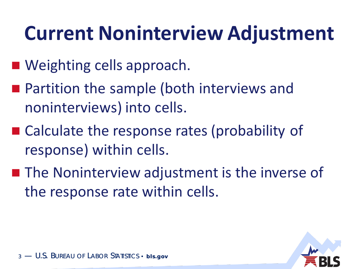# **Current Noninterview Adjustment**

- Weighting cells approach.
- Partition the sample (both interviews and noninterviews) into cells.
- Calculate the response rates (probability of response) within cells.
- The Noninterview adjustment is the inverse of the response rate within cells.

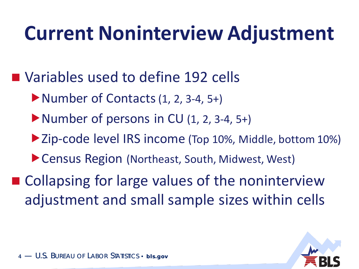# **Current Noninterview Adjustment**

- Variables used to define 192 cells
	- Number of Contacts (1, 2, 3-4, 5+)
	- $\blacktriangleright$  Number of persons in CU  $(1, 2, 3-4, 5+)$
	- ▶ Zip-code level IRS income (Top 10%, Middle, bottom 10%)
	- ▶ Census Region (Northeast, South, Midwest, West)
- Collapsing for large values of the noninterview adjustment and small sample sizes within cells

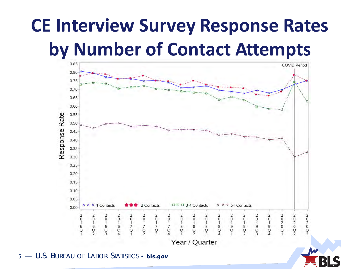## **CE Interview Survey Response Rates by Number of Contact Attempts**

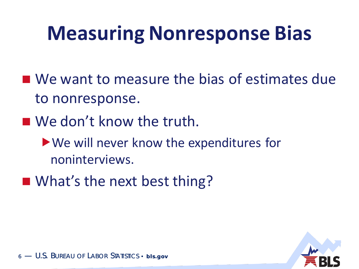# **Measuring Nonresponse Bias**

- We want to measure the bias of estimates due to nonresponse.
- We don't know the truth.
	- We will never know the expenditures for noninterviews.
- What's the next best thing?

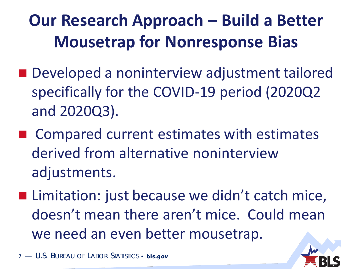### **Our Research Approach – Build a Better Mousetrap for Nonresponse Bias**

- Developed a noninterview adjustment tailored specifically for the COVID-19 period (2020Q2 and 2020Q3).
- Compared current estimates with estimates derived from alternative noninterview adjustments.
- Limitation: just because we didn't catch mice, doesn't mean there aren't mice. Could mean we need an even better mousetrap.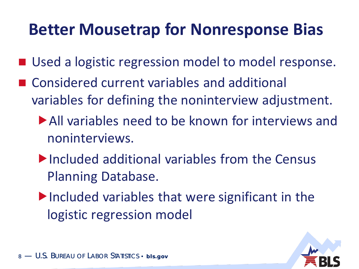### **Better Mousetrap for Nonresponse Bias**

- Used a logistic regression model to model response.
- Considered current variables and additional variables for defining the noninterview adjustment.
	- All variables need to be known for interviews and noninterviews.
	- Included additional variables from the Census Planning Database.
	- $\blacktriangleright$  Included variables that were significant in the logistic regression model

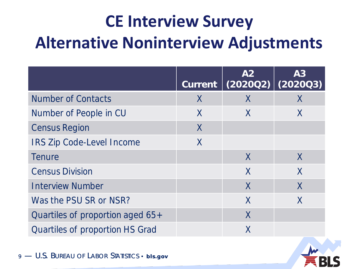### **CE Interview Survey Alternative Noninterview Adjustments**

|                                        | <b>Current</b> | A2<br>(202002) | A3<br>(202003) |
|----------------------------------------|----------------|----------------|----------------|
| <b>Number of Contacts</b>              | X              | X              | X              |
| Number of People in CU                 | X              | X              | X              |
| <b>Census Region</b>                   | $\sf X$        |                |                |
| <b>IRS Zip Code-Level Income</b>       | X              |                |                |
| <b>Tenure</b>                          |                | $\mathsf{X}$   | $\mathsf{X}$   |
| <b>Census Division</b>                 |                | X              | X              |
| <b>Interview Number</b>                |                | X              | X              |
| Was the PSU SR or NSR?                 |                | X              | X              |
| Quartiles of proportion aged 65+       |                | $\sf{X}$       |                |
| <b>Quartiles of proportion HS Grad</b> |                | Χ              |                |

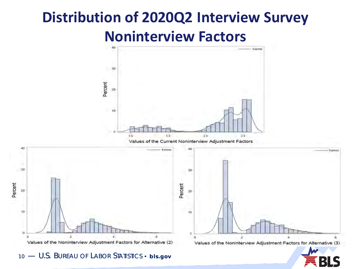### **Distribution of 2020Q2 Interview Survey Noninterview Factors**

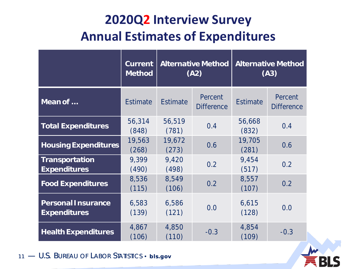#### **2020Q2 Interview Survey Annual Estimates of Expenditures**

|                                                  | <b>Current</b><br><b>Method</b> | <b>Alternative Method</b><br>(A2) |                              | <b>Alternative Method</b><br>(A3) |                              |
|--------------------------------------------------|---------------------------------|-----------------------------------|------------------------------|-----------------------------------|------------------------------|
| Mean of                                          | <b>Estimate</b>                 | <b>Estimate</b>                   | Percent<br><b>Difference</b> | <b>Estimate</b>                   | Percent<br><b>Difference</b> |
| <b>Total Expenditures</b>                        | 56,314<br>(848)                 | 56,519<br>(781)                   | 0.4                          | 56,668<br>(832)                   | 0.4                          |
| <b>Housing Expenditures</b>                      | 19,563<br>(268)                 | 19,672<br>(273)                   | 0.6                          | 19,705<br>(281)                   | 0.6                          |
| <b>Transportation</b><br><b>Expenditures</b>     | 9,399<br>(490)                  | 9,420<br>(498)                    | 0.2                          | 9,454<br>(517)                    | 0.2                          |
| <b>Food Expenditures</b>                         | 8,536<br>(115)                  | 8,549<br>(106)                    | 0.2                          | 8,557<br>(107)                    | 0.2                          |
| <b>Personal Insurance</b><br><b>Expenditures</b> | 6,583<br>(139)                  | 6,586<br>(121)                    | 0.0                          | 6,615<br>(128)                    | 0.0                          |
| <b>Health Expenditures</b>                       | 4,867<br>(106)                  | 4,850<br>(110)                    | $-0.3$                       | 4,854<br>(109)                    | $-0.3$                       |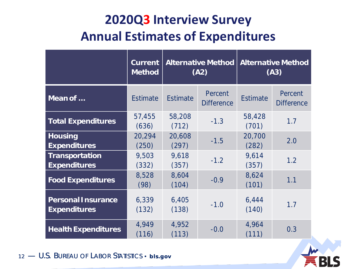#### **2020Q3 Interview Survey Annual Estimates of Expenditures**

|                                                  | <b>Current</b><br><b>Method</b> | <b>Alternative Method</b><br>(A2) |                              | <b>Alternative Method</b><br>(A3) |                              |
|--------------------------------------------------|---------------------------------|-----------------------------------|------------------------------|-----------------------------------|------------------------------|
| Mean of                                          | <b>Estimate</b>                 | <b>Estimate</b>                   | Percent<br><b>Difference</b> | <b>Estimate</b>                   | Percent<br><b>Difference</b> |
| <b>Total Expenditures</b>                        | 57,455<br>(636)                 | 58,208<br>(712)                   | $-1.3$                       | 58,428<br>(701)                   | 1.7                          |
| <b>Housing</b><br><b>Expenditures</b>            | 20,294<br>(250)                 | 20,608<br>(297)                   | $-1.5$                       | 20,700<br>(282)                   | 2.0                          |
| <b>Transportation</b><br><b>Expenditures</b>     | 9,503<br>(332)                  | 9,618<br>(357)                    | $-1.2$                       | 9,614<br>(357)                    | 1.2                          |
| <b>Food Expenditures</b>                         | 8,528<br>(98)                   | 8,604<br>(104)                    | $-0.9$                       | 8,624<br>(101)                    | 1.1                          |
| <b>Personal Insurance</b><br><b>Expenditures</b> | 6,339<br>(132)                  | 6,405<br>(138)                    | $-1.0$                       | 6,444<br>(140)                    | 1.7                          |
| <b>Health Expenditures</b>                       | 4,949<br>(116)                  | 4,952<br>(113)                    | $-0.0$                       | 4,964<br>(111)                    | 0.3                          |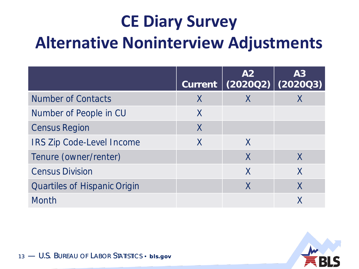### **CE Diary Survey Alternative Noninterview Adjustments**

|                                     | <b>Current</b> | A2                        | A3<br>$(202002)$ $(202003)$ |
|-------------------------------------|----------------|---------------------------|-----------------------------|
| <b>Number of Contacts</b>           | X              |                           |                             |
| Number of People in CU              | X              |                           |                             |
| <b>Census Region</b>                | $\sf X$        |                           |                             |
| <b>IRS Zip Code-Level Income</b>    | X              | X                         |                             |
| Tenure (owner/renter)               |                | $\mathsf{X}$              | $\mathsf{X}$                |
| <b>Census Division</b>              |                | $\boldsymbol{\mathsf{X}}$ | $\boldsymbol{\mathsf{X}}$   |
| <b>Quartiles of Hispanic Origin</b> |                | X                         | X                           |
| <b>Month</b>                        |                |                           |                             |

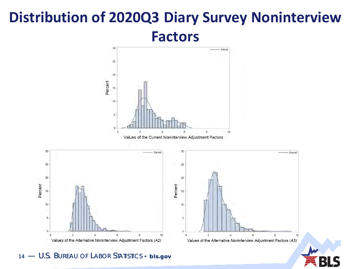#### **Distribution of 2020Q3 Diary Survey Noninterview Factors**

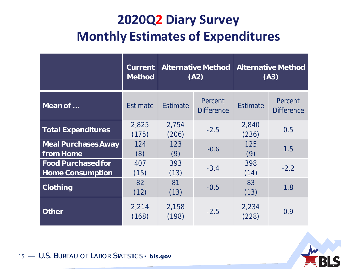#### **2020Q2 Diary Survey Monthly Estimates of Expenditures**

|                                                      | <b>Current</b><br><b>Method</b> | <b>Alternative Method</b><br>(A2) |                              | <b>Alternative Method</b><br>(A3) |                              |
|------------------------------------------------------|---------------------------------|-----------------------------------|------------------------------|-----------------------------------|------------------------------|
| Mean of                                              | <b>Estimate</b>                 | <b>Estimate</b>                   | Percent<br><b>Difference</b> | <b>Estimate</b>                   | Percent<br><b>Difference</b> |
| <b>Total Expenditures</b>                            | 2,825<br>(175)                  | 2,754<br>(206)                    | $-2.5$                       | 2,840<br>(236)                    | 0.5                          |
| <b>Meal Purchases Away</b><br>from Home              | 124<br>(8)                      | 123<br>(9)                        | $-0.6$                       | 125<br>(9)                        | 1.5                          |
| <b>Food Purchased for</b><br><b>Home Consumption</b> | 407<br>(15)                     | 393<br>(13)                       | $-3.4$                       | 398<br>(14)                       | $-2.2$                       |
| <b>Clothing</b>                                      | 82<br>(12)                      | 81<br>(13)                        | $-0.5$                       | 83<br>(13)                        | 1.8                          |
| <b>Other</b>                                         | 2,214<br>(168)                  | 2,158<br>(198)                    | $-2.5$                       | 2,234<br>(228)                    | 0.9                          |

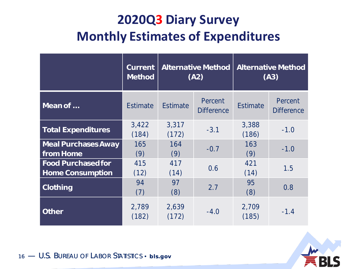#### **2020Q3 Diary Survey Monthly Estimates of Expenditures**

|                                                      | <b>Current</b><br><b>Method</b> | <b>Alternative Method</b><br>(A2) |                              | <b>Alternative Method</b><br>(A3) |                              |
|------------------------------------------------------|---------------------------------|-----------------------------------|------------------------------|-----------------------------------|------------------------------|
| Mean of                                              | <b>Estimate</b>                 | <b>Estimate</b>                   | Percent<br><b>Difference</b> | <b>Estimate</b>                   | Percent<br><b>Difference</b> |
| <b>Total Expenditures</b>                            | 3,422<br>(184)                  | 3,317<br>(172)                    | $-3.1$                       | 3,388<br>(186)                    | $-1.0$                       |
| <b>Meal Purchases Away</b><br>from Home              | 165<br>(9)                      | 164<br>(9)                        | $-0.7$                       | 163<br>(9)                        | $-1.0$                       |
| <b>Food Purchased for</b><br><b>Home Consumption</b> | 415<br>(12)                     | 417<br>(14)                       | 0.6                          | 421<br>(14)                       | 1.5                          |
| <b>Clothing</b>                                      | 94<br>(7)                       | 97<br>(8)                         | 2.7                          | 95<br>(8)                         | 0.8                          |
| <b>Other</b>                                         | 2,789<br>(182)                  | 2,639<br>(172)                    | $-4.0$                       | 2,709<br>(185)                    | $-1.4$                       |

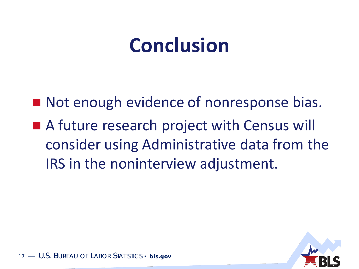## **Conclusion**

■ Not enough evidence of nonresponse bias. ■ A future research project with Census will consider using Administrative data from the IRS in the noninterview adjustment.